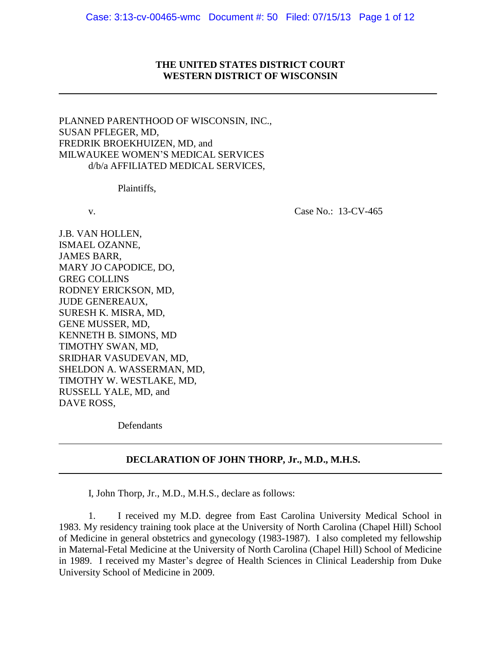### **THE UNITED STATES DISTRICT COURT WESTERN DISTRICT OF WISCONSIN**

PLANNED PARENTHOOD OF WISCONSIN, INC., SUSAN PFLEGER, MD, FREDRIK BROEKHUIZEN, MD, and MILWAUKEE WOMEN'S MEDICAL SERVICES d/b/a AFFILIATED MEDICAL SERVICES,

Plaintiffs,

v. Case No.: 13-CV-465

J.B. VAN HOLLEN, ISMAEL OZANNE, JAMES BARR, MARY JO CAPODICE, DO, GREG COLLINS RODNEY ERICKSON, MD, JUDE GENEREAUX, SURESH K. MISRA, MD, GENE MUSSER, MD, KENNETH B. SIMONS, MD TIMOTHY SWAN, MD, SRIDHAR VASUDEVAN, MD, SHELDON A. WASSERMAN, MD, TIMOTHY W. WESTLAKE, MD, RUSSELL YALE, MD, and DAVE ROSS,

**Defendants** 

### **DECLARATION OF JOHN THORP, Jr., M.D., M.H.S.**

I, John Thorp, Jr., M.D., M.H.S., declare as follows:

1. I received my M.D. degree from East Carolina University Medical School in 1983. My residency training took place at the University of North Carolina (Chapel Hill) School of Medicine in general obstetrics and gynecology (1983-1987). I also completed my fellowship in Maternal-Fetal Medicine at the University of North Carolina (Chapel Hill) School of Medicine in 1989. I received my Master's degree of Health Sciences in Clinical Leadership from Duke University School of Medicine in 2009.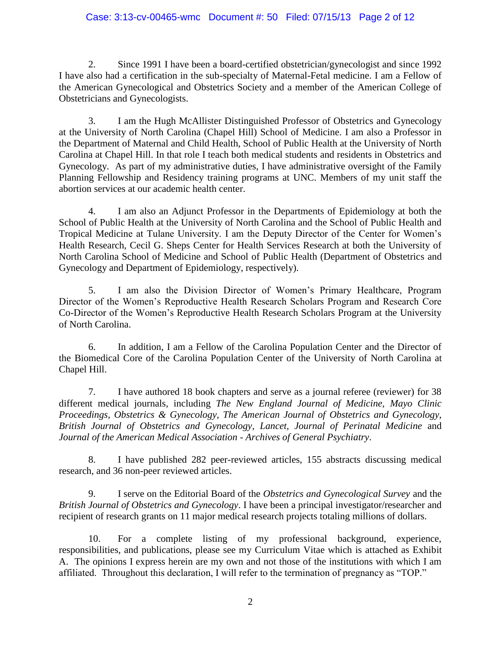## Case: 3:13-cv-00465-wmc Document #: 50 Filed: 07/15/13 Page 2 of 12

2. Since 1991 I have been a board-certified obstetrician/gynecologist and since 1992 I have also had a certification in the sub-specialty of Maternal-Fetal medicine. I am a Fellow of the American Gynecological and Obstetrics Society and a member of the American College of Obstetricians and Gynecologists.

3. I am the Hugh McAllister Distinguished Professor of Obstetrics and Gynecology at the University of North Carolina (Chapel Hill) School of Medicine. I am also a Professor in the Department of Maternal and Child Health, School of Public Health at the University of North Carolina at Chapel Hill. In that role I teach both medical students and residents in Obstetrics and Gynecology. As part of my administrative duties, I have administrative oversight of the Family Planning Fellowship and Residency training programs at UNC. Members of my unit staff the abortion services at our academic health center.

4. I am also an Adjunct Professor in the Departments of Epidemiology at both the School of Public Health at the University of North Carolina and the School of Public Health and Tropical Medicine at Tulane University. I am the Deputy Director of the Center for Women's Health Research, Cecil G. Sheps Center for Health Services Research at both the University of North Carolina School of Medicine and School of Public Health (Department of Obstetrics and Gynecology and Department of Epidemiology, respectively).

5. I am also the Division Director of Women's Primary Healthcare, Program Director of the Women's Reproductive Health Research Scholars Program and Research Core Co-Director of the Women's Reproductive Health Research Scholars Program at the University of North Carolina.

6. In addition, I am a Fellow of the Carolina Population Center and the Director of the Biomedical Core of the Carolina Population Center of the University of North Carolina at Chapel Hill.

7. I have authored 18 book chapters and serve as a journal referee (reviewer) for 38 different medical journals, including *The New England Journal of Medicine, Mayo Clinic Proceedings, Obstetrics & Gynecology, The American Journal of Obstetrics and Gynecology, British Journal of Obstetrics and Gynecology, Lancet, Journal of Perinatal Medicine* and *Journal of the American Medical Association* - *Archives of General Psychiatry*.

8. I have published 282 peer-reviewed articles, 155 abstracts discussing medical research, and 36 non-peer reviewed articles.

9. I serve on the Editorial Board of the *Obstetrics and Gynecological Survey* and the *British Journal of Obstetrics and Gynecology*. I have been a principal investigator/researcher and recipient of research grants on 11 major medical research projects totaling millions of dollars.

10. For a complete listing of my professional background, experience, responsibilities, and publications, please see my Curriculum Vitae which is attached as Exhibit A. The opinions I express herein are my own and not those of the institutions with which I am affiliated. Throughout this declaration, I will refer to the termination of pregnancy as "TOP."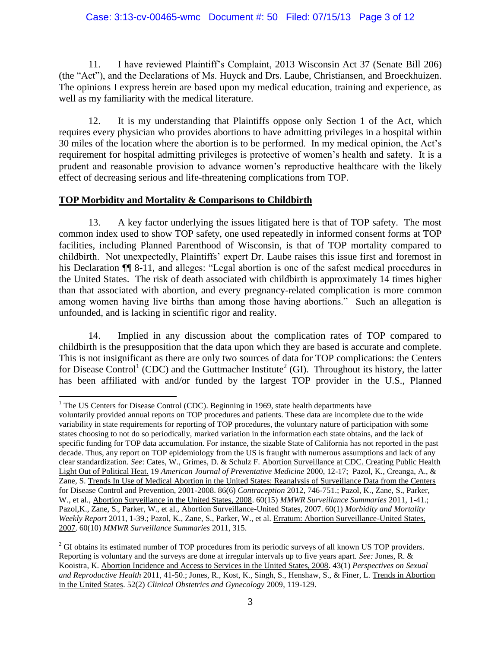11. I have reviewed Plaintiff's Complaint, 2013 Wisconsin Act 37 (Senate Bill 206) (the "Act"), and the Declarations of Ms. Huyck and Drs. Laube, Christiansen, and Broeckhuizen. The opinions I express herein are based upon my medical education, training and experience, as well as my familiarity with the medical literature.

12. It is my understanding that Plaintiffs oppose only Section 1 of the Act, which requires every physician who provides abortions to have admitting privileges in a hospital within 30 miles of the location where the abortion is to be performed. In my medical opinion, the Act's requirement for hospital admitting privileges is protective of women's health and safety. It is a prudent and reasonable provision to advance women's reproductive healthcare with the likely effect of decreasing serious and life-threatening complications from TOP.

## **TOP Morbidity and Mortality & Comparisons to Childbirth**

13. A key factor underlying the issues litigated here is that of TOP safety. The most common index used to show TOP safety, one used repeatedly in informed consent forms at TOP facilities, including Planned Parenthood of Wisconsin, is that of TOP mortality compared to childbirth. Not unexpectedly, Plaintiffs' expert Dr. Laube raises this issue first and foremost in his Declaration  $\P$  8-11, and alleges: "Legal abortion is one of the safest medical procedures in the United States. The risk of death associated with childbirth is approximately 14 times higher than that associated with abortion, and every pregnancy-related complication is more common among women having live births than among those having abortions." Such an allegation is unfounded, and is lacking in scientific rigor and reality.

14. Implied in any discussion about the complication rates of TOP compared to childbirth is the presupposition that the data upon which they are based is accurate and complete. This is not insignificant as there are only two sources of data for TOP complications: the Centers for Disease Control<sup>1</sup> (CDC) and the Guttmacher Institute<sup>2</sup> (GI). Throughout its history, the latter has been affiliated with and/or funded by the largest TOP provider in the U.S., Planned

 $\overline{a}$  $<sup>1</sup>$  The US Centers for Disease Control (CDC). Beginning in 1969, state health departments have</sup>

voluntarily provided annual reports on TOP procedures and patients. These data are incomplete due to the wide variability in state requirements for reporting of TOP procedures, the voluntary nature of participation with some states choosing to not do so periodically, marked variation in the information each state obtains, and the lack of specific funding for TOP data accumulation. For instance, the sizable State of California has not reported in the past decade. Thus, any report on TOP epidemiology from the US is fraught with numerous assumptions and lack of any clear standardization. *See*: Cates, W., Grimes, D. & Schulz F. Abortion Surveillance at CDC. Creating Public Health Light Out of Political Heat. 19 *American Journal of Preventative Medicine* 2000, 12-17; Pazol, K., Creanga, A., & Zane, S. Trends In Use of Medical Abortion in the United States: Reanalysis of Surveillance Data from the Centers for Disease Control and Prevention, 2001-2008. 86(6) *Contraception* 2012, 746-751.; Pazol, K., Zane, S., Parker, W., et al., Abortion Surveillance in the United States, 2008. 60(15) *MMWR Surveillance Summaries* 2011, 1-41.; Pazol,K., Zane, S., Parker, W., et al., Abortion Surveillance-United States, 2007. 60(1) *Morbidity and Mortality Weekly Report* 2011, 1-39.; Pazol, K., Zane, S., Parker, W., et al. Erratum: Abortion Surveillance-United States, 2007. 60(10) *MMWR Surveillance Summaries* 2011, 315.

<sup>&</sup>lt;sup>2</sup> GI obtains its estimated number of TOP procedures from its periodic surveys of all known US TOP providers. Reporting is voluntary and the surveys are done at irregular intervals up to five years apart. *See:* Jones, R. & Kooistra, K. Abortion Incidence and Access to Services in the United States, 2008. 43(1) *Perspectives on Sexual and Reproductive Health* 2011, 41-50.; Jones, R., Kost, K., Singh, S., Henshaw, S., & Finer, L. Trends in Abortion in the United States. 52(2) *Clinical Obstetrics and Gynecology* 2009, 119-129.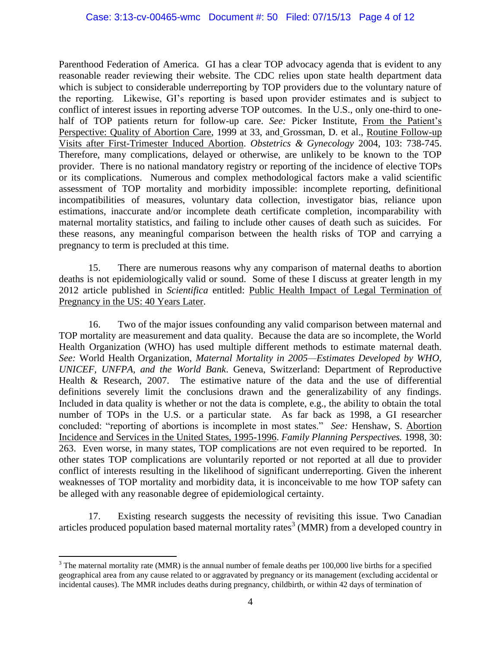Parenthood Federation of America. GI has a clear TOP advocacy agenda that is evident to any reasonable reader reviewing their website. The CDC relies upon state health department data which is subject to considerable underreporting by TOP providers due to the voluntary nature of the reporting. Likewise, GI's reporting is based upon provider estimates and is subject to conflict of interest issues in reporting adverse TOP outcomes. In the U.S., only one-third to onehalf of TOP patients return for follow-up care. *See:* Picker Institute, From the Patient's Perspective: Quality of Abortion Care, 1999 at 33, and Grossman, D. et al., Routine Follow-up Visits after First-Trimester Induced Abortion. *Obstetrics & Gynecology* 2004, 103: 738-745. Therefore, many complications, delayed or otherwise, are unlikely to be known to the TOP provider. There is no national mandatory registry or reporting of the incidence of elective TOPs or its complications. Numerous and complex methodological factors make a valid scientific assessment of TOP mortality and morbidity impossible: incomplete reporting, definitional incompatibilities of measures, voluntary data collection, investigator bias, reliance upon estimations, inaccurate and/or incomplete death certificate completion, incomparability with maternal mortality statistics, and failing to include other causes of death such as suicides. For these reasons, any meaningful comparison between the health risks of TOP and carrying a pregnancy to term is precluded at this time.

15. There are numerous reasons why any comparison of maternal deaths to abortion deaths is not epidemiologically valid or sound. Some of these I discuss at greater length in my 2012 article published in *Scientifica* entitled: Public Health Impact of Legal Termination of Pregnancy in the US: 40 Years Later.

16. Two of the major issues confounding any valid comparison between maternal and TOP mortality are measurement and data quality. Because the data are so incomplete, the World Health Organization (WHO) has used multiple different methods to estimate maternal death. *See:* World Health Organization, *Maternal Mortality in 2005—Estimates Developed by WHO, UNICEF, UNFPA, and the World Bank*. Geneva, Switzerland: Department of Reproductive Health & Research, 2007. The estimative nature of the data and the use of differential definitions severely limit the conclusions drawn and the generalizability of any findings. Included in data quality is whether or not the data is complete, e.g., the ability to obtain the total number of TOPs in the U.S. or a particular state. As far back as 1998, a GI researcher concluded: "reporting of abortions is incomplete in most states." *See:* Henshaw, S. Abortion Incidence and Services in the United States, 1995-1996. *Family Planning Perspectives.* 1998, 30: 263. Even worse, in many states, TOP complications are not even required to be reported. In other states TOP complications are voluntarily reported or not reported at all due to provider conflict of interests resulting in the likelihood of significant underreporting. Given the inherent weaknesses of TOP mortality and morbidity data, it is inconceivable to me how TOP safety can be alleged with any reasonable degree of epidemiological certainty.

17. Existing research suggests the necessity of revisiting this issue. Two Canadian articles produced population based maternal mortality rates<sup>3</sup> (MMR) from a developed country in

 $\overline{\phantom{a}}$  $3$  The maternal mortality rate (MMR) is the annual number of female deaths per 100,000 live births for a specified geographical area from any cause related to or aggravated by pregnancy or its management (excluding accidental or incidental causes). The MMR includes deaths during pregnancy, childbirth, or within 42 days of termination of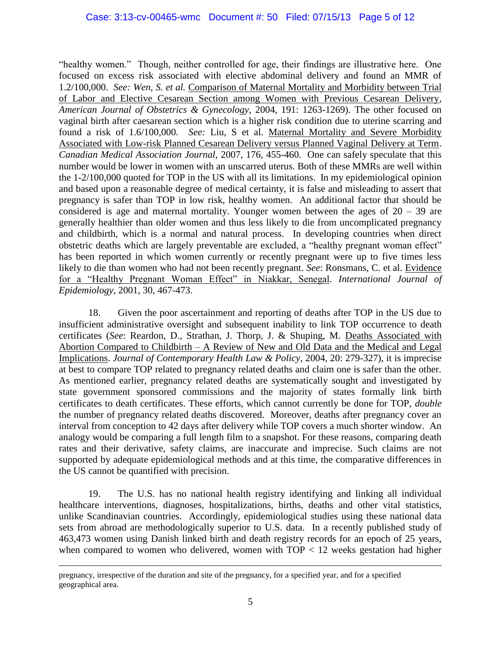"healthy women." Though, neither controlled for age, their findings are illustrative here. One focused on excess risk associated with elective abdominal delivery and found an MMR of 1.2/100,000. *See: Wen, S. et al.* Comparison of Maternal Mortality and Morbidity between Trial of Labor and Elective Cesarean Section among Women with Previous Cesarean Delivery*, American Journal of Obstetrics & Gynecology,* 2004, 191: 1263-1269). The other focused on vaginal birth after caesarean section which is a higher risk condition due to uterine scarring and found a risk of 1.6/100,000. *See:* Liu, S et al. Maternal Mortality and Severe Morbidity Associated with Low-risk Planned Cesarean Delivery versus Planned Vaginal Delivery at Term. *Canadian Medical Association Journal,* 2007, 176, 455-460. One can safely speculate that this number would be lower in women with an unscarred uterus. Both of these MMRs are well within the 1-2/100,000 quoted for TOP in the US with all its limitations. In my epidemiological opinion and based upon a reasonable degree of medical certainty, it is false and misleading to assert that pregnancy is safer than TOP in low risk, healthy women. An additional factor that should be considered is age and maternal mortality. Younger women between the ages of  $20 - 39$  are generally healthier than older women and thus less likely to die from uncomplicated pregnancy and childbirth, which is a normal and natural process. In developing countries when direct obstetric deaths which are largely preventable are excluded, a "healthy pregnant woman effect" has been reported in which women currently or recently pregnant were up to five times less likely to die than women who had not been recently pregnant. *See*: Ronsmans, C. et al. Evidence for a "Healthy Pregnant Woman Effect" in Niakkar, Senegal. *International Journal of Epidemiology*, 2001, 30, 467-473.

18. Given the poor ascertainment and reporting of deaths after TOP in the US due to insufficient administrative oversight and subsequent inability to link TOP occurrence to death certificates (*See*: Reardon, D., Strathan, J. Thorp, J. & Shuping, M. Deaths Associated with Abortion Compared to Childbirth – A Review of New and Old Data and the Medical and Legal Implications. *Journal of Contemporary Health Law & Policy*, 2004, 20: 279-327), it is imprecise at best to compare TOP related to pregnancy related deaths and claim one is safer than the other. As mentioned earlier, pregnancy related deaths are systematically sought and investigated by state government sponsored commissions and the majority of states formally link birth certificates to death certificates. These efforts, which cannot currently be done for TOP, *double* the number of pregnancy related deaths discovered. Moreover, deaths after pregnancy cover an interval from conception to 42 days after delivery while TOP covers a much shorter window. An analogy would be comparing a full length film to a snapshot. For these reasons, comparing death rates and their derivative, safety claims, are inaccurate and imprecise. Such claims are not supported by adequate epidemiological methods and at this time, the comparative differences in the US cannot be quantified with precision.

19. The U.S. has no national health registry identifying and linking all individual healthcare interventions, diagnoses, hospitalizations, births, deaths and other vital statistics, unlike Scandinavian countries. Accordingly, epidemiological studies using these national data sets from abroad are methodologically superior to U.S. data. In a recently published study of 463,473 women using Danish linked birth and death registry records for an epoch of 25 years, when compared to women who delivered, women with  $TOP < 12$  weeks gestation had higher

 $\overline{\phantom{a}}$ pregnancy, irrespective of the duration and site of the pregnancy, for a specified year, and for a specified geographical area.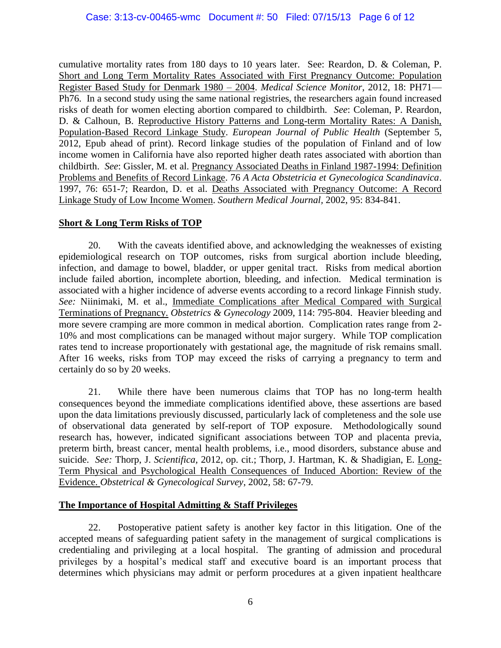cumulative mortality rates from 180 days to 10 years later. See: Reardon, D. & Coleman, P. Short and Long Term Mortality Rates Associated with First Pregnancy Outcome: Population Register Based Study for Denmark 1980 – 2004. *Medical Science Monitor*, 2012, 18: PH71— Ph76. In a second study using the same national registries, the researchers again found increased risks of death for women electing abortion compared to childbirth. *See*: Coleman, P. Reardon, D. & Calhoun, B. Reproductive History Patterns and Long-term Mortality Rates: A Danish, Population-Based Record Linkage Study. *European Journal of Public Health* (September 5, 2012, Epub ahead of print). Record linkage studies of the population of Finland and of low income women in California have also reported higher death rates associated with abortion than childbirth. *See*: Gissler, M. et al. Pregnancy Associated Deaths in Finland 1987-1994: Definition Problems and Benefits of Record Linkage. 76 *A Acta Obstetricia et Gynecologica Scandinavica*. 1997, 76: 651-7; Reardon, D. et al. Deaths Associated with Pregnancy Outcome: A Record Linkage Study of Low Income Women. *Southern Medical Journal,* 2002, 95: 834-841.

# **Short & Long Term Risks of TOP**

20. With the caveats identified above, and acknowledging the weaknesses of existing epidemiological research on TOP outcomes, risks from surgical abortion include bleeding, infection, and damage to bowel, bladder, or upper genital tract. Risks from medical abortion include failed abortion, incomplete abortion, bleeding, and infection. Medical termination is associated with a higher incidence of adverse events according to a record linkage Finnish study. *See:* Niinimaki, M. et al., Immediate Complications after Medical Compared with Surgical Terminations of Pregnancy. *Obstetrics & Gynecology* 2009, 114: 795-804. Heavier bleeding and more severe cramping are more common in medical abortion. Complication rates range from 2- 10% and most complications can be managed without major surgery. While TOP complication rates tend to increase proportionately with gestational age, the magnitude of risk remains small. After 16 weeks, risks from TOP may exceed the risks of carrying a pregnancy to term and certainly do so by 20 weeks.

21. While there have been numerous claims that TOP has no long-term health consequences beyond the immediate complications identified above, these assertions are based upon the data limitations previously discussed, particularly lack of completeness and the sole use of observational data generated by self-report of TOP exposure. Methodologically sound research has, however, indicated significant associations between TOP and placenta previa, preterm birth, breast cancer, mental health problems, i.e., mood disorders, substance abuse and suicide. *See:* Thorp, J. *Scientifica,* 2012, op. cit.; Thorp, J. Hartman, K. & Shadigian, E. Long-Term Physical and Psychological Health Consequences of Induced Abortion: Review of the Evidence. *Obstetrical & Gynecological Survey*, 2002, 58: 67-79.

## **The Importance of Hospital Admitting & Staff Privileges**

22. Postoperative patient safety is another key factor in this litigation. One of the accepted means of safeguarding patient safety in the management of surgical complications is credentialing and privileging at a local hospital. The granting of admission and procedural privileges by a hospital's medical staff and executive board is an important process that determines which physicians may admit or perform procedures at a given inpatient healthcare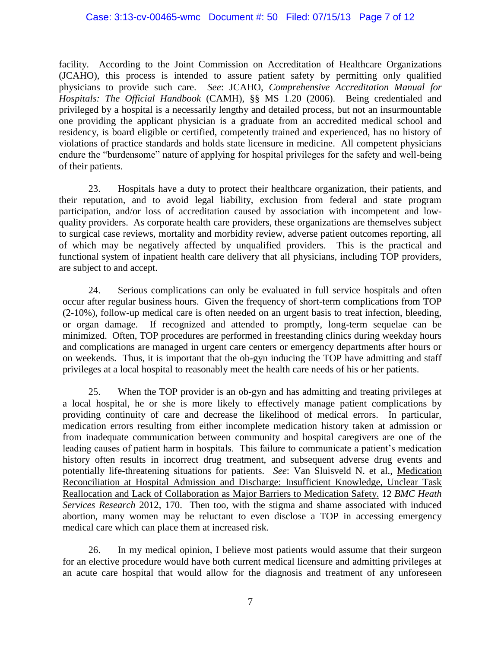#### Case: 3:13-cv-00465-wmc Document #: 50 Filed: 07/15/13 Page 7 of 12

facility. According to the Joint Commission on Accreditation of Healthcare Organizations (JCAHO), this process is intended to assure patient safety by permitting only qualified physicians to provide such care. *See*: JCAHO, *Comprehensive Accreditation Manual for Hospitals: The Official Handbook* (CAMH), §§ MS 1.20 (2006). Being credentialed and privileged by a hospital is a necessarily lengthy and detailed process, but not an insurmountable one providing the applicant physician is a graduate from an accredited medical school and residency, is board eligible or certified, competently trained and experienced, has no history of violations of practice standards and holds state licensure in medicine. All competent physicians endure the "burdensome" nature of applying for hospital privileges for the safety and well-being of their patients.

23. Hospitals have a duty to protect their healthcare organization, their patients, and their reputation, and to avoid legal liability, exclusion from federal and state program participation, and/or loss of accreditation caused by association with incompetent and lowquality providers. As corporate health care providers, these organizations are themselves subject to surgical case reviews, mortality and morbidity review, adverse patient outcomes reporting, all of which may be negatively affected by unqualified providers. This is the practical and functional system of inpatient health care delivery that all physicians, including TOP providers, are subject to and accept.

24. Serious complications can only be evaluated in full service hospitals and often occur after regular business hours. Given the frequency of short-term complications from TOP (2-10%), follow-up medical care is often needed on an urgent basis to treat infection, bleeding, or organ damage. If recognized and attended to promptly, long-term sequelae can be minimized. Often, TOP procedures are performed in freestanding clinics during weekday hours and complications are managed in urgent care centers or emergency departments after hours or on weekends. Thus, it is important that the ob-gyn inducing the TOP have admitting and staff privileges at a local hospital to reasonably meet the health care needs of his or her patients.

25. When the TOP provider is an ob-gyn and has admitting and treating privileges at a local hospital, he or she is more likely to effectively manage patient complications by providing continuity of care and decrease the likelihood of medical errors. In particular, medication errors resulting from either incomplete medication history taken at admission or from inadequate communication between community and hospital caregivers are one of the leading causes of patient harm in hospitals. This failure to communicate a patient's medication history often results in incorrect drug treatment, and subsequent adverse drug events and potentially life-threatening situations for patients. *See*: Van Sluisveld N. et al., Medication Reconciliation at Hospital Admission and Discharge: Insufficient Knowledge, Unclear Task Reallocation and Lack of Collaboration as Major Barriers to Medication Safety. 12 *BMC Heath Services Research* 2012, 170. Then too, with the stigma and shame associated with induced abortion, many women may be reluctant to even disclose a TOP in accessing emergency medical care which can place them at increased risk.

26. In my medical opinion, I believe most patients would assume that their surgeon for an elective procedure would have both current medical licensure and admitting privileges at an acute care hospital that would allow for the diagnosis and treatment of any unforeseen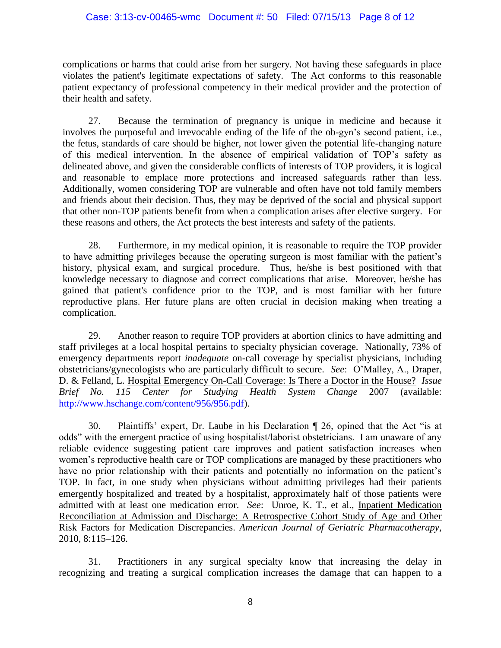### Case: 3:13-cv-00465-wmc Document #: 50 Filed: 07/15/13 Page 8 of 12

complications or harms that could arise from her surgery. Not having these safeguards in place violates the patient's legitimate expectations of safety. The Act conforms to this reasonable patient expectancy of professional competency in their medical provider and the protection of their health and safety.

27. Because the termination of pregnancy is unique in medicine and because it involves the purposeful and irrevocable ending of the life of the ob-gyn's second patient, i.e., the fetus, standards of care should be higher, not lower given the potential life-changing nature of this medical intervention. In the absence of empirical validation of TOP's safety as delineated above, and given the considerable conflicts of interests of TOP providers, it is logical and reasonable to emplace more protections and increased safeguards rather than less. Additionally, women considering TOP are vulnerable and often have not told family members and friends about their decision. Thus, they may be deprived of the social and physical support that other non-TOP patients benefit from when a complication arises after elective surgery. For these reasons and others, the Act protects the best interests and safety of the patients.

28. Furthermore, in my medical opinion, it is reasonable to require the TOP provider to have admitting privileges because the operating surgeon is most familiar with the patient's history, physical exam, and surgical procedure. Thus, he/she is best positioned with that knowledge necessary to diagnose and correct complications that arise. Moreover, he/she has gained that patient's confidence prior to the TOP, and is most familiar with her future reproductive plans. Her future plans are often crucial in decision making when treating a complication.

29. Another reason to require TOP providers at abortion clinics to have admitting and staff privileges at a local hospital pertains to specialty physician coverage. Nationally, 73% of emergency departments report *inadequate* on-call coverage by specialist physicians, including obstetricians/gynecologists who are particularly difficult to secure. *See*: O'Malley, A., Draper, D. & Felland, L. Hospital Emergency On-Call Coverage: Is There a Doctor in the House? *Issue Brief No. 115 Center for Studying Health System Change* 2007 (available: [http://www.hschange.com/content/956/956.pdf\)](www.hschange.com/content/956/956.pdf).

30. Plaintiffs' expert, Dr. Laube in his Declaration ¶ 26, opined that the Act "is at odds" with the emergent practice of using hospitalist/laborist obstetricians. I am unaware of any reliable evidence suggesting patient care improves and patient satisfaction increases when women's reproductive health care or TOP complications are managed by these practitioners who have no prior relationship with their patients and potentially no information on the patient's TOP. In fact, in one study when physicians without admitting privileges had their patients emergently hospitalized and treated by a hospitalist, approximately half of those patients were admitted with at least one medication error. *See*: Unroe, K. T., et al., Inpatient Medication Reconciliation at Admission and Discharge: A Retrospective Cohort Study of Age and Other Risk Factors for Medication Discrepancies. *American Journal of Geriatric Pharmacotherapy*, 2010, 8:115–126.

31. Practitioners in any surgical specialty know that increasing the delay in recognizing and treating a surgical complication increases the damage that can happen to a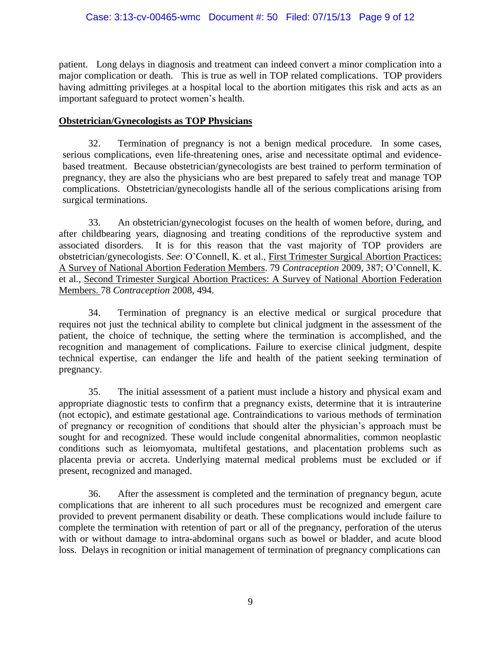## Case: 3:13-cv-00465-wmc Document #: 50 Filed: 07/15/13 Page 9 of 12

patient. Long delays in diagnosis and treatment can indeed convert a minor complication into a major complication or death. This is true as well in TOP related complications. TOP providers having admitting privileges at a hospital local to the abortion mitigates this risk and acts as an important safeguard to protect women's health.

## **Obstetrician/Gynecologists as TOP Physicians**

32. Termination of pregnancy is not a benign medical procedure. In some cases, serious complications, even life-threatening ones, arise and necessitate optimal and evidencebased treatment. Because obstetrician/gynecologists are best trained to perform termination of pregnancy, they are also the physicians who are best prepared to safely treat and manage TOP complications. Obstetrician/gynecologists handle all of the serious complications arising from surgical terminations.

33. An obstetrician/gynecologist focuses on the health of women before, during, and after childbearing years, diagnosing and treating conditions of the reproductive system and associated disorders. It is for this reason that the vast majority of TOP providers are obstetrician/gynecologists. *See*: O'Connell, K. et al., First Trimester Surgical Abortion Practices: A Survey of National Abortion Federation Members. 79 *Contraception* 2009*,* 387; O'Connell, K. et al., Second Trimester Surgical Abortion Practices: A Survey of National Abortion Federation Members. 78 *Contraception* 2008, 494.

34. Termination of pregnancy is an elective medical or surgical procedure that requires not just the technical ability to complete but clinical judgment in the assessment of the patient, the choice of technique, the setting where the termination is accomplished, and the recognition and management of complications. Failure to exercise clinical judgment, despite technical expertise, can endanger the life and health of the patient seeking termination of pregnancy.

35. The initial assessment of a patient must include a history and physical exam and appropriate diagnostic tests to confirm that a pregnancy exists, determine that it is intrauterine (not ectopic), and estimate gestational age. Contraindications to various methods of termination of pregnancy or recognition of conditions that should alter the physician's approach must be sought for and recognized. These would include congenital abnormalities, common neoplastic conditions such as leiomyomata, multifetal gestations, and placentation problems such as placenta previa or accreta. Underlying maternal medical problems must be excluded or if present, recognized and managed.

36. After the assessment is completed and the termination of pregnancy begun, acute complications that are inherent to all such procedures must be recognized and emergent care provided to prevent permanent disability or death. These complications would include failure to complete the termination with retention of part or all of the pregnancy, perforation of the uterus with or without damage to intra-abdominal organs such as bowel or bladder, and acute blood loss. Delays in recognition or initial management of termination of pregnancy complications can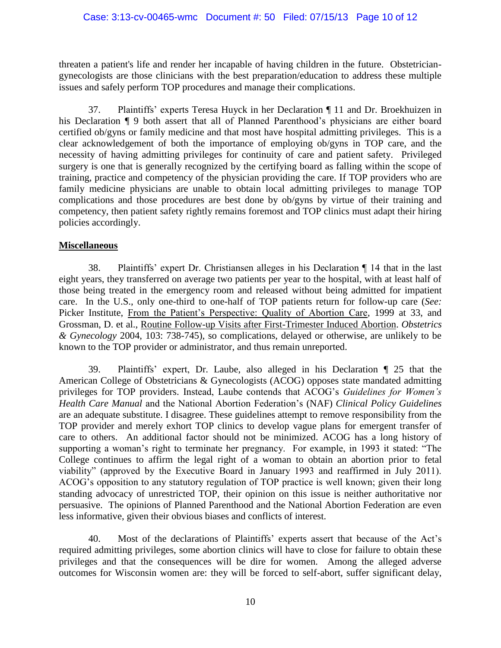threaten a patient's life and render her incapable of having children in the future. Obstetriciangynecologists are those clinicians with the best preparation/education to address these multiple issues and safely perform TOP procedures and manage their complications.

37. Plaintiffs' experts Teresa Huyck in her Declaration ¶ 11 and Dr. Broekhuizen in his Declaration ¶ 9 both assert that all of Planned Parenthood's physicians are either board certified ob/gyns or family medicine and that most have hospital admitting privileges. This is a clear acknowledgement of both the importance of employing ob/gyns in TOP care, and the necessity of having admitting privileges for continuity of care and patient safety. Privileged surgery is one that is generally recognized by the certifying board as falling within the scope of training, practice and competency of the physician providing the care. If TOP providers who are family medicine physicians are unable to obtain local admitting privileges to manage TOP complications and those procedures are best done by ob/gyns by virtue of their training and competency, then patient safety rightly remains foremost and TOP clinics must adapt their hiring policies accordingly.

## **Miscellaneous**

38. Plaintiffs' expert Dr. Christiansen alleges in his Declaration ¶ 14 that in the last eight years, they transferred on average two patients per year to the hospital, with at least half of those being treated in the emergency room and released without being admitted for impatient care. In the U.S., only one-third to one-half of TOP patients return for follow-up care (*See:*  Picker Institute, From the Patient's Perspective: Quality of Abortion Care, 1999 at 33, and Grossman, D. et al., Routine Follow-up Visits after First-Trimester Induced Abortion. *Obstetrics & Gynecology* 2004, 103: 738-745), so complications, delayed or otherwise, are unlikely to be known to the TOP provider or administrator, and thus remain unreported.

39. Plaintiffs' expert, Dr. Laube, also alleged in his Declaration ¶ 25 that the American College of Obstetricians & Gynecologists (ACOG) opposes state mandated admitting privileges for TOP providers. Instead, Laube contends that ACOG's *Guidelines for Women's Health Care Manual* and the National Abortion Federation's (NAF) *Clinical Policy Guidelines* are an adequate substitute. I disagree. These guidelines attempt to remove responsibility from the TOP provider and merely exhort TOP clinics to develop vague plans for emergent transfer of care to others. An additional factor should not be minimized. ACOG has a long history of supporting a woman's right to terminate her pregnancy. For example, in 1993 it stated: "The College continues to affirm the legal right of a woman to obtain an abortion prior to fetal viability" (approved by the Executive Board in January 1993 and reaffirmed in July 2011). ACOG's opposition to any statutory regulation of TOP practice is well known; given their long standing advocacy of unrestricted TOP, their opinion on this issue is neither authoritative nor persuasive. The opinions of Planned Parenthood and the National Abortion Federation are even less informative, given their obvious biases and conflicts of interest.

40. Most of the declarations of Plaintiffs' experts assert that because of the Act's required admitting privileges, some abortion clinics will have to close for failure to obtain these privileges and that the consequences will be dire for women. Among the alleged adverse outcomes for Wisconsin women are: they will be forced to self-abort, suffer significant delay,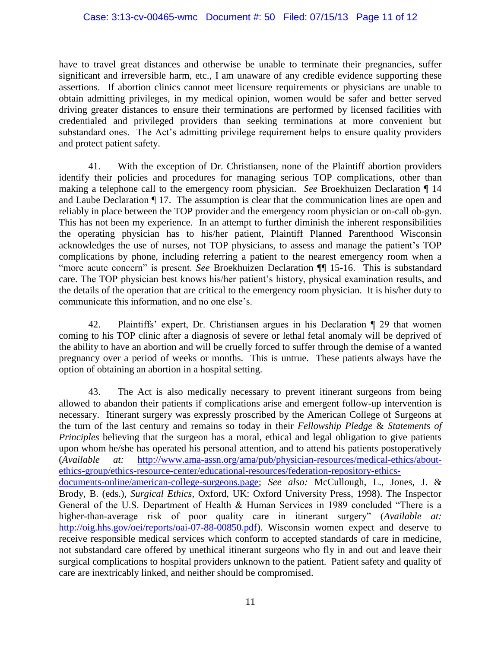have to travel great distances and otherwise be unable to terminate their pregnancies, suffer significant and irreversible harm, etc., I am unaware of any credible evidence supporting these assertions. If abortion clinics cannot meet licensure requirements or physicians are unable to obtain admitting privileges, in my medical opinion, women would be safer and better served driving greater distances to ensure their terminations are performed by licensed facilities with credentialed and privileged providers than seeking terminations at more convenient but substandard ones. The Act's admitting privilege requirement helps to ensure quality providers and protect patient safety.

41. With the exception of Dr. Christiansen, none of the Plaintiff abortion providers identify their policies and procedures for managing serious TOP complications, other than making a telephone call to the emergency room physician. *See* Broekhuizen Declaration ¶ 14 and Laube Declaration ¶ 17. The assumption is clear that the communication lines are open and reliably in place between the TOP provider and the emergency room physician or on-call ob-gyn. This has not been my experience. In an attempt to further diminish the inherent responsibilities the operating physician has to his/her patient, Plaintiff Planned Parenthood Wisconsin acknowledges the use of nurses, not TOP physicians, to assess and manage the patient's TOP complications by phone, including referring a patient to the nearest emergency room when a "more acute concern" is present. *See* Broekhuizen Declaration ¶¶ 15-16. This is substandard care. The TOP physician best knows his/her patient's history, physical examination results, and the details of the operation that are critical to the emergency room physician. It is his/her duty to communicate this information, and no one else's.

42. Plaintiffs' expert, Dr. Christiansen argues in his Declaration ¶ 29 that women coming to his TOP clinic after a diagnosis of severe or lethal fetal anomaly will be deprived of the ability to have an abortion and will be cruelly forced to suffer through the demise of a wanted pregnancy over a period of weeks or months. This is untrue. These patients always have the option of obtaining an abortion in a hospital setting.

43. The Act is also medically necessary to prevent itinerant surgeons from being allowed to abandon their patients if complications arise and emergent follow-up intervention is necessary. Itinerant surgery was expressly proscribed by the American College of Surgeons at the turn of the last century and remains so today in their *Fellowship Pledge* & *Statements of Principles* believing that the surgeon has a moral, ethical and legal obligation to give patients upon whom he/she has operated his personal attention, and to attend his patients postoperatively (*Available at:* [http://www.ama-assn.org/ama/pub/physician-resources/medical-ethics/about](http://www.ama-assn.org/ama/pub/physician-resources/medical-ethics/about-ethics-group/ethics-resource-center/educational-resources/federation-repository-ethics-documents-online/american-college-surgeons.page)[ethics-group/ethics-resource-center/educational-resources/federation-repository-ethics](http://www.ama-assn.org/ama/pub/physician-resources/medical-ethics/about-ethics-group/ethics-resource-center/educational-resources/federation-repository-ethics-documents-online/american-college-surgeons.page)[documents-online/american-college-surgeons.page;](http://www.ama-assn.org/ama/pub/physician-resources/medical-ethics/about-ethics-group/ethics-resource-center/educational-resources/federation-repository-ethics-documents-online/american-college-surgeons.page) *See also:* McCullough, L., Jones, J. & Brody, B. (eds.), *Surgical Ethics*, Oxford, UK: Oxford University Press, 1998). The Inspector General of the U.S. Department of Health & Human Services in 1989 concluded "There is a higher-than-average risk of poor quality care in itinerant surgery" (*Available at:* [http://oig.hhs.gov/oei/reports/oai-07-88-00850.pdf\)](oig.hhs.gov/oei/reports/oai-07-88-00850.pdf). Wisconsin women expect and deserve to receive responsible medical services which conform to accepted standards of care in medicine, not substandard care offered by unethical itinerant surgeons who fly in and out and leave their surgical complications to hospital providers unknown to the patient. Patient safety and quality of care are inextricably linked, and neither should be compromised.